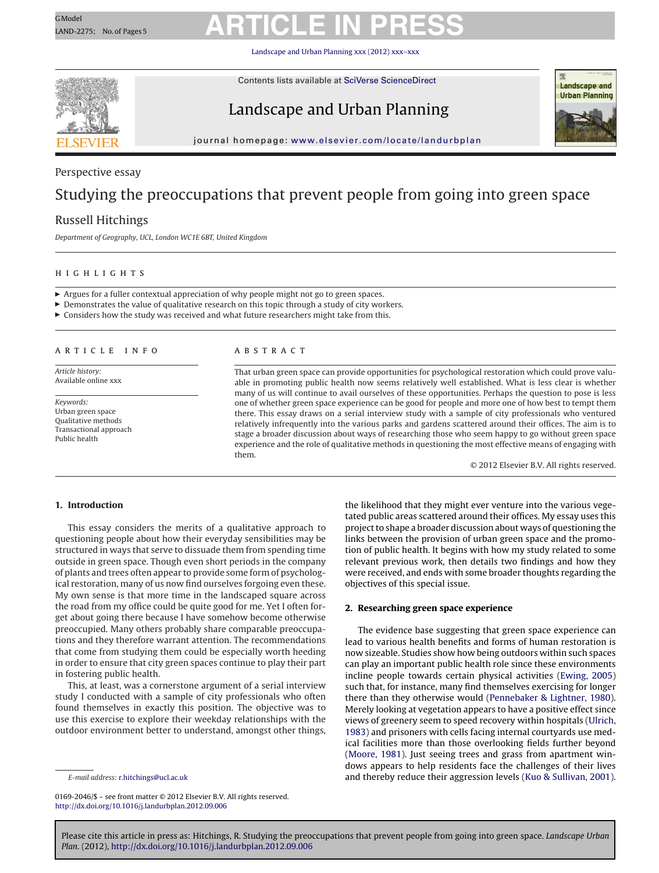# GModel GARTICLE IN PRESS

Landscape and Urban Planning [xxx \(2012\) xxx–xxx](dx.doi.org/10.1016/j.landurbplan.2012.09.006)



Contents lists available at SciVerse [ScienceDirect](http://www.sciencedirect.com/science/journal/01692046)

### Landscape and Urban Planning



jour nal homepage: [www.elsevier.com/locate/landurbplan](http://www.elsevier.com/locate/landurbplan)

### Perspective essay

### Studying the preoccupations that prevent people from going into green space

### Russell Hitchings

Department of Geography, UCL, London WC1E 6BT, United Kingdom

- Argues for a fuller contextual appreciation of why people might not go to green spaces.
- $\blacktriangleright$  Demonstrates the value of qualitative research on this topic through a study of city workers.
- $\blacktriangleright$  Considers how the study was received and what future researchers might take from this.

#### ARTICLE INFO

Article history: Available online xxx

Keywords: Urban green space Qualitative methods Transactional approach Public health

#### **ABSTRACT**

That urban green space can provide opportunities for psychological restoration which could prove valuable in promoting public health now seems relatively well established. What is less clear is whether many of us will continue to avail ourselves of these opportunities. Perhaps the question to pose is less one of whether green space experience can be good for people and more one of how best to tempt them there. This essay draws on a serial interview study with a sample of city professionals who ventured relatively infrequently into the various parks and gardens scattered around their offices. The aim is to stage a broader discussion about ways of researching those who seem happy to go without green space experience and the role of qualitative methods in questioning the most effective means of engaging with them.

© 2012 Elsevier B.V. All rights reserved.

#### **1. Introduction**

This essay considers the merits of a qualitative approach to questioning people about how their everyday sensibilities may be structured in ways that serve to dissuade them from spending time outside in green space. Though even short periods in the company of plants and trees often appear to provide some form of psychological restoration, many of us now find ourselves forgoing even these. My own sense is that more time in the landscaped square across the road from my office could be quite good for me. Yet I often forget about going there because I have somehow become otherwise preoccupied. Many others probably share comparable preoccupations and they therefore warrant attention. The recommendations that come from studying them could be especially worth heeding in order to ensure that city green spaces continue to play their part in fostering public health.

This, at least, was a cornerstone argument of a serial interview study I conducted with a sample of city professionals who often found themselves in exactly this position. The objective was to use this exercise to explore their weekday relationships with the outdoor environment better to understand, amongst other things,

the likelihood that they might ever venture into the various vegetated public areas scattered around their offices. My essay uses this project to shape a broader discussion about ways of questioning the links between the provision of urban green space and the promotion of public health. It begins with how my study related to some relevant previous work, then details two findings and how they were received, and ends with some broader thoughts regarding the objectives of this special issue.

#### **2. Researching green space experience**

The evidence base suggesting that green space experience can lead to various health benefits and forms of human restoration is now sizeable. Studies show how being outdoors within such spaces can play an important public health role since these environments incline people towards certain physical activities [\(Ewing,](#page-4-0) [2005\)](#page-4-0) such that, for instance, many find themselves exercising for longer there than they otherwise would ([Pennebaker](#page-4-0) [&](#page-4-0) [Lightner,](#page-4-0) [1980\).](#page-4-0) Merely looking at vegetation appears to have a positive effect since views of greenery seem to speed recovery within hospitals ([Ulrich,](#page-4-0) [1983\)](#page-4-0) and prisoners with cells facing internal courtyards use medical facilities more than those overlooking fields further beyond [\(Moore,](#page-4-0) [1981\).](#page-4-0) Just seeing trees and grass from apartment windows appears to help residents face the challenges of their lives and thereby reduce their aggression levels [\(Kuo](#page-4-0) [&](#page-4-0) [Sullivan,](#page-4-0) [2001\).](#page-4-0)

E-mail address: [r.hitchings@ucl.ac.uk](mailto:r.hitchings@ucl.ac.uk)

<sup>0169-2046/\$</sup> – see front matter © 2012 Elsevier B.V. All rights reserved. [http://dx.doi.org/10.1016/j.landurbplan.2012.09.006](dx.doi.org/10.1016/j.landurbplan.2012.09.006)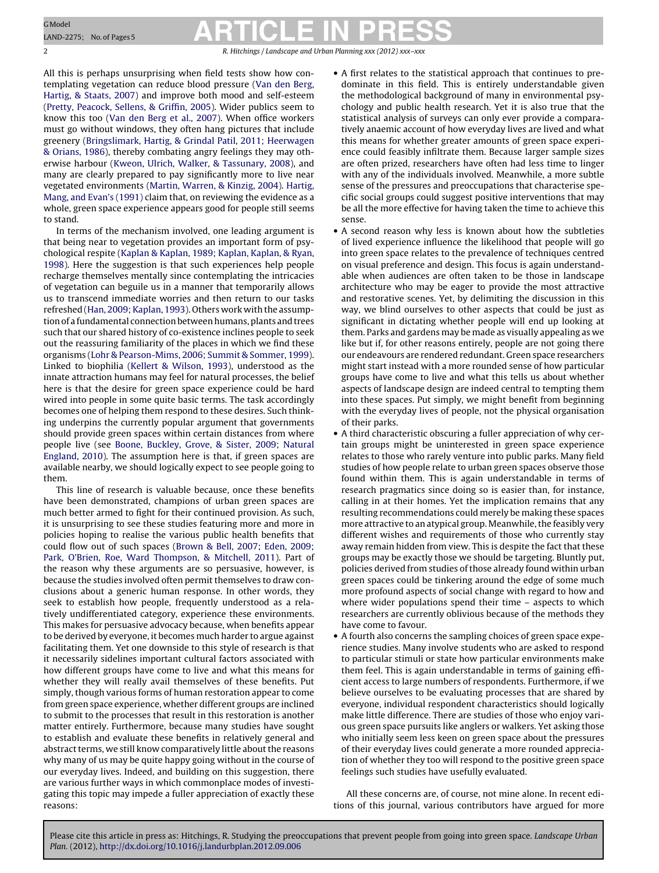# GModel GModel Reserves **ARTICLE IN PRESS**

2 R. Hitchings / Landscape and Urban Planning *xxx (2012) xxx–xxx*

All this is perhaps unsurprising when field tests show how contemplating vegetation can reduce blood pressure [\(Van](#page-4-0) [den](#page-4-0) [Berg,](#page-4-0) [Hartig,](#page-4-0) [&](#page-4-0) [Staats,](#page-4-0) [2007\)](#page-4-0) and improve both mood and self-esteem ([Pretty,](#page-4-0) [Peacock,](#page-4-0) [Sellens,](#page-4-0) [&](#page-4-0) [Griffin,](#page-4-0) [2005\).](#page-4-0) Wider publics seem to know this too [\(Van](#page-4-0) [den](#page-4-0) [Berg](#page-4-0) et [al.,](#page-4-0) [2007\).](#page-4-0) When office workers must go without windows, they often hang pictures that include greenery ([Bringslimark,](#page-4-0) [Hartig,](#page-4-0) [&](#page-4-0) [Grindal](#page-4-0) [Patil,](#page-4-0) [2011;](#page-4-0) [Heerwagen](#page-4-0) [&](#page-4-0) [Orians,](#page-4-0) [1986\),](#page-4-0) thereby combating angry feelings they may otherwise harbour [\(Kweon,](#page-4-0) [Ulrich,](#page-4-0) [Walker,](#page-4-0) [&](#page-4-0) [Tassunary,](#page-4-0) [2008\),](#page-4-0) and many are clearly prepared to pay significantly more to live near vegetated environments ([Martin,](#page-4-0) [Warren,](#page-4-0) [&](#page-4-0) [Kinzig,](#page-4-0) [2004\).](#page-4-0) [Hartig,](#page-4-0) [Mang,](#page-4-0) [and](#page-4-0) [Evan's](#page-4-0) [\(1991\)](#page-4-0) claim that, on reviewing the evidence as a whole, green space experience appears good for people still seems to stand.

In terms of the mechanism involved, one leading argument is that being near to vegetation provides an important form of psychological respite ([Kaplan](#page-4-0) [&](#page-4-0) [Kaplan,](#page-4-0) [1989;](#page-4-0) [Kaplan,](#page-4-0) [Kaplan,](#page-4-0) [&](#page-4-0) [Ryan,](#page-4-0) [1998\).](#page-4-0) Here the suggestion is that such experiences help people recharge themselves mentally since contemplating the intricacies of vegetation can beguile us in a manner that temporarily allows us to transcend immediate worries and then return to our tasks refreshed ([Han,](#page-4-0) 2009; Kaplan, [1993\).](#page-4-0) Others work with the assumption of a fundamental connection between humans, plants and trees such that our shared history of co-existence inclines people to seek out the reassuring familiarity of the places in which we find these organisms [\(Lohr](#page-4-0) [&](#page-4-0) [Pearson-Mims,](#page-4-0) [2006;](#page-4-0) [Summit](#page-4-0) [&](#page-4-0) [Sommer,](#page-4-0) [1999\).](#page-4-0) Linked to biophilia ([Kellert](#page-4-0) [&](#page-4-0) [Wilson,](#page-4-0) [1993\),](#page-4-0) understood as the innate attraction humans may feel for natural processes, the belief here is that the desire for green space experience could be hard wired into people in some quite basic terms. The task accordingly becomes one of helping them respond to these desires. Such thinking underpins the currently popular argument that governments should provide green spaces within certain distances from where people live (see [Boone,](#page-4-0) [Buckley,](#page-4-0) [Grove,](#page-4-0) [&](#page-4-0) [Sister,](#page-4-0) [2009;](#page-4-0) [Natural](#page-4-0) [England,](#page-4-0) [2010\).](#page-4-0) The assumption here is that, if green spaces are available nearby, we should logically expect to see people going to them.

This line of research is valuable because, once these benefits have been demonstrated, champions of urban green spaces are much better armed to fight for their continued provision. As such, it is unsurprising to see these studies featuring more and more in policies hoping to realise the various public health benefits that could flow out of such spaces [\(Brown](#page-4-0) [&](#page-4-0) [Bell,](#page-4-0) [2007;](#page-4-0) [Eden,](#page-4-0) [2009;](#page-4-0) [Park,](#page-4-0) [O'Brien,](#page-4-0) [Roe,](#page-4-0) [Ward](#page-4-0) [Thompson,](#page-4-0) [&](#page-4-0) [Mitchell,](#page-4-0) [2011\).](#page-4-0) Part of the reason why these arguments are so persuasive, however, is because the studies involved often permit themselves to draw conclusions about a generic human response. In other words, they seek to establish how people, frequently understood as a relatively undifferentiated category, experience these environments. This makes for persuasive advocacy because, when benefits appear to be derived by everyone, it becomes much harder to argue against facilitating them. Yet one downside to this style of research is that it necessarily sidelines important cultural factors associated with how different groups have come to live and what this means for whether they will really avail themselves of these benefits. Put simply, though various forms of human restoration appear to come from green space experience, whether different groups are inclined to submit to the processes that result in this restoration is another matter entirely. Furthermore, because many studies have sought to establish and evaluate these benefits in relatively general and abstract terms, we still know comparatively little about the reasons why many of us may be quite happy going without in the course of our everyday lives. Indeed, and building on this suggestion, there are various further ways in which commonplace modes of investigating this topic may impede a fuller appreciation of exactly these reasons:

- A first relates to the statistical approach that continues to predominate in this field. This is entirely understandable given the methodological background of many in environmental psychology and public health research. Yet it is also true that the statistical analysis of surveys can only ever provide a comparatively anaemic account of how everyday lives are lived and what this means for whether greater amounts of green space experience could feasibly infiltrate them. Because larger sample sizes are often prized, researchers have often had less time to linger with any of the individuals involved. Meanwhile, a more subtle sense of the pressures and preoccupations that characterise specific social groups could suggest positive interventions that may be all the more effective for having taken the time to achieve this sense.
- A second reason why less is known about how the subtleties of lived experience influence the likelihood that people will go into green space relates to the prevalence of techniques centred on visual preference and design. This focus is again understandable when audiences are often taken to be those in landscape architecture who may be eager to provide the most attractive and restorative scenes. Yet, by delimiting the discussion in this way, we blind ourselves to other aspects that could be just as significant in dictating whether people will end up looking at them. Parks and gardens may be made as visually appealing as we like but if, for other reasons entirely, people are not going there our endeavours are rendered redundant. Green space researchers might start instead with a more rounded sense of how particular groups have come to live and what this tells us about whether aspects of landscape design are indeed central to tempting them into these spaces. Put simply, we might benefit from beginning with the everyday lives of people, not the physical organisation of their parks.
- A third characteristic obscuring a fuller appreciation of why certain groups might be uninterested in green space experience relates to those who rarely venture into public parks. Many field studies of how people relate to urban green spaces observe those found within them. This is again understandable in terms of research pragmatics since doing so is easier than, for instance, calling in at their homes. Yet the implication remains that any resulting recommendations could merely be making these spaces more attractive to an atypical group. Meanwhile, the feasibly very different wishes and requirements of those who currently stay away remain hidden from view. This is despite the fact that these groups may be exactly those we should be targeting. Bluntly put, policies derived from studies of those already found within urban green spaces could be tinkering around the edge of some much more profound aspects of social change with regard to how and where wider populations spend their time – aspects to which researchers are currently oblivious because of the methods they have come to favour.
- A fourth also concerns the sampling choices of green space experience studies. Many involve students who are asked to respond to particular stimuli or state how particular environments make them feel. This is again understandable in terms of gaining efficient access to large numbers of respondents. Furthermore, if we believe ourselves to be evaluating processes that are shared by everyone, individual respondent characteristics should logically make little difference. There are studies of those who enjoy various green space pursuits like anglers or walkers. Yet asking those who initially seem less keen on green space about the pressures of their everyday lives could generate a more rounded appreciation of whether they too will respond to the positive green space feelings such studies have usefully evaluated.

All these concerns are, of course, not mine alone. In recent editions of this journal, various contributors have argued for more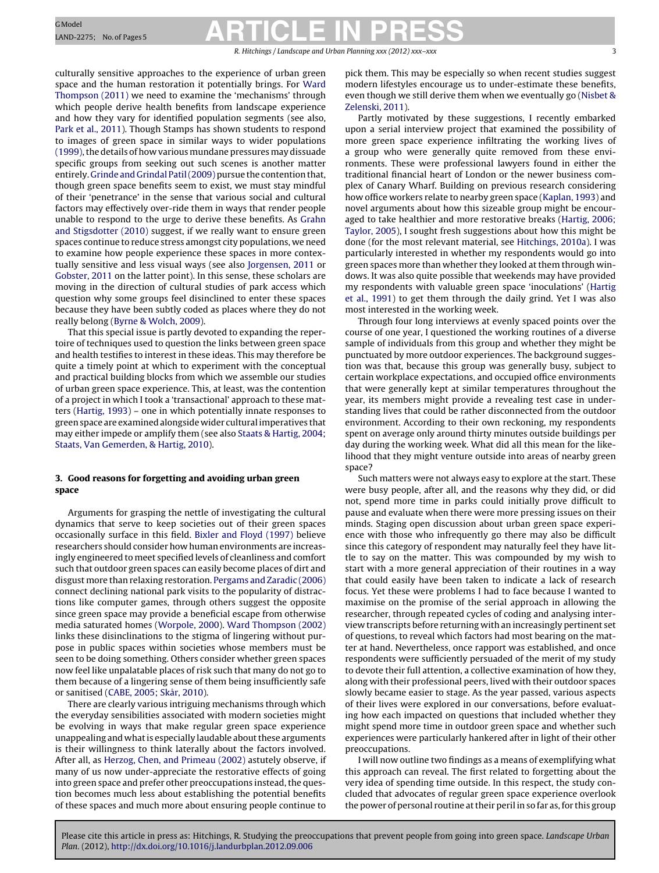### GModel GARTICLE IN PRESS

R. Hitchings / Landscape and Urban Planning *xxx (2012) xxx–xxx* 3

culturally sensitive approaches to the experience of urban green space and the human restoration it potentially brings. For [Ward](#page-4-0) [Thompson](#page-4-0) [\(2011\)](#page-4-0) we need to examine the 'mechanisms' through which people derive health benefits from landscape experience and how they vary for identified population segments (see also, [Park](#page-4-0) et [al.,](#page-4-0) [2011\).](#page-4-0) Though Stamps has shown students to respond to images of green space in similar ways to wider populations (1999), the details of how various mundane pressures may dissuade specific groups from seeking out such scenes is another matter entirely. [Grinde](#page-4-0) [and](#page-4-0) [Grindal](#page-4-0) Patil (2009) pursue the contention that, though green space benefits seem to exist, we must stay mindful of their 'penetrance' in the sense that various social and cultural factors may effectively over-ride them in ways that render people unable to respond to the urge to derive these benefits. As [Grahn](#page-4-0) [and](#page-4-0) [Stigsdotter](#page-4-0) [\(2010\)](#page-4-0) suggest, if we really want to ensure green spaces continue to reduce stress amongst city populations, we need to examine how people experience these spaces in more contextually sensitive and less visual ways (see also [Jorgensen,](#page-4-0) [2011](#page-4-0) or [Gobster,](#page-4-0) [2011](#page-4-0) on the latter point). In this sense, these scholars are moving in the direction of cultural studies of park access which question why some groups feel disinclined to enter these spaces because they have been subtly coded as places where they do not really belong [\(Byrne](#page-4-0) [&](#page-4-0) [Wolch,](#page-4-0) [2009\).](#page-4-0)

That this special issue is partly devoted to expanding the repertoire of techniques used to question the links between green space and health testifies to interest in these ideas. This may therefore be quite a timely point at which to experiment with the conceptual and practical building blocks from which we assemble our studies of urban green space experience. This, at least, was the contention of a project in which I took a 'transactional' approach to these matters ([Hartig,](#page-4-0) [1993\)](#page-4-0) – one in which potentially innate responses to green space are examined alongside wider cultural imperatives that may either impede or amplify them (see also [Staats](#page-4-0) [&](#page-4-0) [Hartig,](#page-4-0) [2004;](#page-4-0) [Staats,](#page-4-0) [Van](#page-4-0) [Gemerden,](#page-4-0) [&](#page-4-0) [Hartig,](#page-4-0) [2010\).](#page-4-0)

#### **3. Good reasons for forgetting and avoiding urban green space**

Arguments for grasping the nettle of investigating the cultural dynamics that serve to keep societies out of their green spaces occasionally surface in this field. [Bixler](#page-4-0) [and](#page-4-0) [Floyd](#page-4-0) [\(1997\)](#page-4-0) believe researchers should consider how human environments are increasingly engineered to meet specified levels of cleanliness and comfort such that outdoor green spaces can easily become places of dirt and disgust more than relaxing restoration. [Pergams](#page-4-0) [and](#page-4-0) [Zaradic](#page-4-0) [\(2006\)](#page-4-0) connect declining national park visits to the popularity of distractions like computer games, through others suggest the opposite since green space may provide a beneficial escape from otherwise media saturated homes [\(Worpole,](#page-4-0) [2000\).](#page-4-0) [Ward](#page-4-0) [Thompson](#page-4-0) [\(2002\)](#page-4-0) links these disinclinations to the stigma of lingering without purpose in public spaces within societies whose members must be seen to be doing something. Others consider whether green spaces now feel like unpalatable places of risk such that many do not go to them because of a lingering sense of them being insufficiently safe or sanitised [\(CABE,](#page-4-0) [2005;](#page-4-0) [Skår,](#page-4-0) [2010\).](#page-4-0)

There are clearly various intriguing mechanisms through which the everyday sensibilities associated with modern societies might be evolving in ways that make regular green space experience unappealing and what is especially laudable about these arguments is their willingness to think laterally about the factors involved. After all, as [Herzog,](#page-4-0) [Chen,](#page-4-0) [and](#page-4-0) [Primeau](#page-4-0) [\(2002\)](#page-4-0) astutely observe, if many of us now under-appreciate the restorative effects of going into green space and prefer other preoccupations instead, the question becomes much less about establishing the potential benefits of these spaces and much more about ensuring people continue to

pick them. This may be especially so when recent studies suggest modern lifestyles encourage us to under-estimate these benefits, even though we still derive them when we eventually go ([Nisbet](#page-4-0) [&](#page-4-0) [Zelenski,](#page-4-0) [2011\).](#page-4-0)

Partly motivated by these suggestions, I recently embarked upon a serial interview project that examined the possibility of more green space experience infiltrating the working lives of a group who were generally quite removed from these environments. These were professional lawyers found in either the traditional financial heart of London or the newer business complex of Canary Wharf. Building on previous research considering how office workers relate to nearby green space ([Kaplan,](#page-4-0) [1993\)](#page-4-0) and novel arguments about how this sizeable group might be encouraged to take healthier and more restorative breaks [\(Hartig,](#page-4-0) [2006;](#page-4-0) [Taylor,](#page-4-0) [2005\),](#page-4-0) I sought fresh suggestions about how this might be done (for the most relevant material, see [Hitchings,](#page-4-0) [2010a\).](#page-4-0) I was particularly interested in whether my respondents would go into green spaces more than whether they looked at them through windows. It was also quite possible that weekends may have provided my respondents with valuable green space 'inoculations' ([Hartig](#page-4-0) et [al.,](#page-4-0) [1991\)](#page-4-0) to get them through the daily grind. Yet I was also most interested in the working week.

Through four long interviews at evenly spaced points over the course of one year, I questioned the working routines of a diverse sample of individuals from this group and whether they might be punctuated by more outdoor experiences. The background suggestion was that, because this group was generally busy, subject to certain workplace expectations, and occupied office environments that were generally kept at similar temperatures throughout the year, its members might provide a revealing test case in understanding lives that could be rather disconnected from the outdoor environment. According to their own reckoning, my respondents spent on average only around thirty minutes outside buildings per day during the working week. What did all this mean for the likelihood that they might venture outside into areas of nearby green space?

Such matters were not always easy to explore at the start. These were busy people, after all, and the reasons why they did, or did not, spend more time in parks could initially prove difficult to pause and evaluate when there were more pressing issues on their minds. Staging open discussion about urban green space experience with those who infrequently go there may also be difficult since this category of respondent may naturally feel they have little to say on the matter. This was compounded by my wish to start with a more general appreciation of their routines in a way that could easily have been taken to indicate a lack of research focus. Yet these were problems I had to face because I wanted to maximise on the promise of the serial approach in allowing the researcher, through repeated cycles of coding and analysing interview transcripts before returning with an increasingly pertinent set of questions, to reveal which factors had most bearing on the matter at hand. Nevertheless, once rapport was established, and once respondents were sufficiently persuaded of the merit of my study to devote their full attention, a collective examination of how they, along with their professional peers, lived with their outdoor spaces slowly became easier to stage. As the year passed, various aspects of their lives were explored in our conversations, before evaluating how each impacted on questions that included whether they might spend more time in outdoor green space and whether such experiences were particularly hankered after in light of their other preoccupations.

I will now outline two findings as a means of exemplifying what this approach can reveal. The first related to forgetting about the very idea of spending time outside. In this respect, the study concluded that advocates of regular green space experience overlook the power of personal routine at their peril in so far as, for this group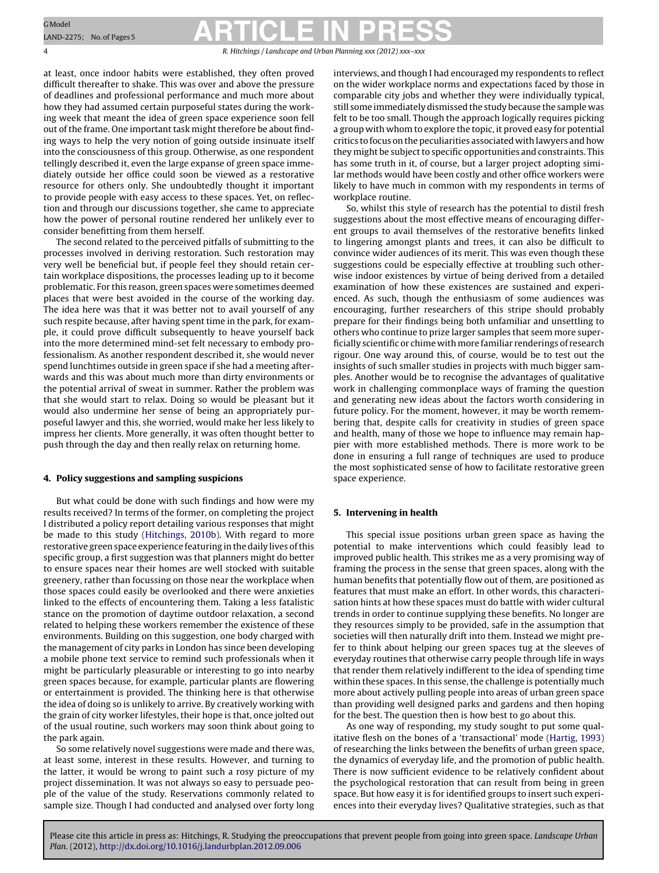## GModel GModel Reserves **ARTICLE IN PRESS**

4 R. Hitchings / Landscape and Urban Planning *xxx (2012) xxx–xxx*

at least, once indoor habits were established, they often proved difficult thereafter to shake. This was over and above the pressure of deadlines and professional performance and much more about how they had assumed certain purposeful states during the working week that meant the idea of green space experience soon fell out of the frame. One important task might therefore be about finding ways to help the very notion of going outside insinuate itself into the consciousness of this group. Otherwise, as one respondent tellingly described it, even the large expanse of green space immediately outside her office could soon be viewed as a restorative resource for others only. She undoubtedly thought it important to provide people with easy access to these spaces. Yet, on reflection and through our discussions together, she came to appreciate how the power of personal routine rendered her unlikely ever to consider benefitting from them herself.

The second related to the perceived pitfalls of submitting to the processes involved in deriving restoration. Such restoration may very well be beneficial but, if people feel they should retain certain workplace dispositions, the processes leading up to it become problematic. For this reason, green spaces were sometimes deemed places that were best avoided in the course of the working day. The idea here was that it was better not to avail yourself of any such respite because, after having spent time in the park, for example, it could prove difficult subsequently to heave yourself back into the more determined mind-set felt necessary to embody professionalism. As another respondent described it, she would never spend lunchtimes outside in green space if she had a meeting afterwards and this was about much more than dirty environments or the potential arrival of sweat in summer. Rather the problem was that she would start to relax. Doing so would be pleasant but it would also undermine her sense of being an appropriately purposeful lawyer and this, she worried, would make her less likely to impress her clients. More generally, it was often thought better to push through the day and then really relax on returning home.

#### **4. Policy suggestions and sampling suspicions**

But what could be done with such findings and how were my results received? In terms of the former, on completing the project I distributed a policy report detailing various responses that might be made to this study [\(Hitchings,](#page-4-0) [2010b\).](#page-4-0) With regard to more restorative green space experience featuring in the daily lives of this specific group, a first suggestion was that planners might do better to ensure spaces near their homes are well stocked with suitable greenery, rather than focussing on those near the workplace when those spaces could easily be overlooked and there were anxieties linked to the effects of encountering them. Taking a less fatalistic stance on the promotion of daytime outdoor relaxation, a second related to helping these workers remember the existence of these environments. Building on this suggestion, one body charged with the management of city parks in London has since been developing a mobile phone text service to remind such professionals when it might be particularly pleasurable or interesting to go into nearby green spaces because, for example, particular plants are flowering or entertainment is provided. The thinking here is that otherwise the idea of doing so is unlikely to arrive. By creatively working with the grain of city worker lifestyles, their hope is that, once jolted out of the usual routine, such workers may soon think about going to the park again.

So some relatively novel suggestions were made and there was, at least some, interest in these results. However, and turning to the latter, it would be wrong to paint such a rosy picture of my project dissemination. It was not always so easy to persuade people of the value of the study. Reservations commonly related to sample size. Though I had conducted and analysed over forty long interviews, and though I had encouraged my respondents to reflect on the wider workplace norms and expectations faced by those in comparable city jobs and whether they were individually typical, still some immediately dismissed the study because the sample was felt to be too small. Though the approach logically requires picking a group with whom to explore the topic, it proved easy for potential critics to focus on the peculiarities associated with lawyers and how they might be subject to specific opportunities and constraints. This has some truth in it, of course, but a larger project adopting similar methods would have been costly and other office workers were likely to have much in common with my respondents in terms of workplace routine.

So, whilst this style of research has the potential to distil fresh suggestions about the most effective means of encouraging different groups to avail themselves of the restorative benefits linked to lingering amongst plants and trees, it can also be difficult to convince wider audiences of its merit. This was even though these suggestions could be especially effective at troubling such otherwise indoor existences by virtue of being derived from a detailed examination of how these existences are sustained and experienced. As such, though the enthusiasm of some audiences was encouraging, further researchers of this stripe should probably prepare for their findings being both unfamiliar and unsettling to others who continue to prize larger samples that seem more superficially scientific or chime with more familiar renderings of research rigour. One way around this, of course, would be to test out the insights of such smaller studies in projects with much bigger samples. Another would be to recognise the advantages of qualitative work in challenging commonplace ways of framing the question and generating new ideas about the factors worth considering in future policy. For the moment, however, it may be worth remembering that, despite calls for creativity in studies of green space and health, many of those we hope to influence may remain happier with more established methods. There is more work to be done in ensuring a full range of techniques are used to produce the most sophisticated sense of how to facilitate restorative green space experience.

#### **5. Intervening in health**

This special issue positions urban green space as having the potential to make interventions which could feasibly lead to improved public health. This strikes me as a very promising way of framing the process in the sense that green spaces, along with the human benefits that potentially flow out of them, are positioned as features that must make an effort. In other words, this characterisation hints at how these spaces must do battle with wider cultural trends in order to continue supplying these benefits. No longer are they resources simply to be provided, safe in the assumption that societies will then naturally drift into them. Instead we might prefer to think about helping our green spaces tug at the sleeves of everyday routines that otherwise carry people through life in ways that render them relatively indifferent to the idea of spending time within these spaces. In this sense, the challenge is potentially much more about actively pulling people into areas of urban green space than providing well designed parks and gardens and then hoping for the best. The question then is how best to go about this.

As one way of responding, my study sought to put some qualitative flesh on the bones of a 'transactional' mode [\(Hartig,](#page-4-0) [1993\)](#page-4-0) of researching the links between the benefits of urban green space, the dynamics of everyday life, and the promotion of public health. There is now sufficient evidence to be relatively confident about the psychological restoration that can result from being in green space. But how easy it is for identified groups to insert such experiences into their everyday lives? Qualitative strategies, such as that